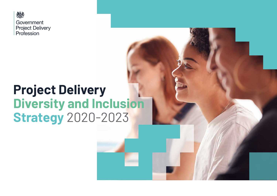

# **Project Delivery Diversity and Inclusion Strategy** 2020-2023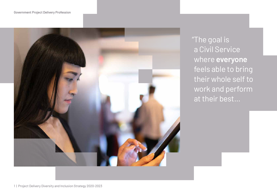#### Government Project Delivery Profession



"The goal is a Civil Service where **everyone** feels able to bring their whole self to work and perform at their best...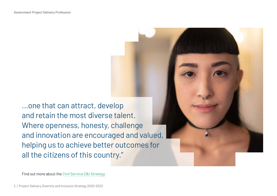...one that can attract, develop and retain the most diverse talent. Where openness, honesty, challenge and innovation are encouraged and valued, helping us to achieve better outcomes for all the citizens of this country."

Find out more about the [Civil Service D&I Strategy](https://www.gov.uk/government/publications/a-brilliant-civil-service-becoming-the-uks-most-inclusive-employer)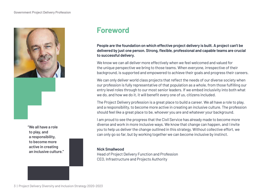

**"We all have a role to play, and a responsibility, to become more active in creating an inclusive culture."**

### **Foreword**

**People are the foundation on which effective project delivery is built. A project can't be delivered by just one person. Strong, flexible, professional and capable teams are crucial to successful delivery.** 

We know we can all deliver more effectively when we feel welcomed and valued for the unique perspective we bring to those teams. When everyone, irrespective of their background, is supported and empowered to achieve their goals and progress their careers.

We can only deliver world class projects that reflect the needs of our diverse society when our profession is fully representative of that population as a whole, from those fulfilling our entry level roles through to our most senior leaders. If we embed inclusivity into both what we do, and how we do it, it will benefit every one of us, citizens included.

The Project Delivery profession is a great place to build a career. We all have a role to play, and a responsibility, to become more active in creating an inclusive culture. The profession should feel like a great place to be, whoever you are and whatever your background.

I am proud to see the progress that the Civil Service has already made to become more diverse and work in more inclusive ways. We know that change can happen, and I invite you to help us deliver the change outlined in this strategy. Without collective effort, we can only go so far, but by working together we can become inclusive by instinct.

#### **Nick Smallwood**

Head of Project Delivery Function and Profession CEO, Infrastructure and Projects Authority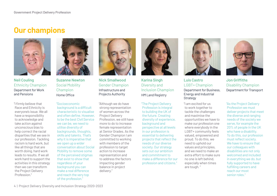### **Our champions**



**Neil Couling** Ethnicity Champion Department for Work and Pensions

"I firmly believe that Race and Ethnicity is everyone's issue. We all have a responsibility to acknowledge and take action against unconscious bias to help correct the racial disparities that we see in our profession. Tackling racism is hard work, but like all things that are worth doing, hard work leads to results. If we all work hard to support the activities in this strategy then we can transform the Project Delivery Profession."



**Suzanne Newton** Social Mobility Champion Home Office

"Socioeconomic background is a difficult characteristic to visualise and often define. However, to be the best Civil Service we can be, we need to utilise diversity of backgrounds, thoughts, skills and talents. That's why it is imperative that we open up a wider conversation about Social Mobility to remove some of the perceived stigmas that exist to show that regardless of your background you can make a real difference and reach the very top of the profession."



**Nick Smallwood** Gender Champion Infrastructure and Projects Authority

"Although we do have strong representation of women across the Project Delivery Profession, we still have more to do to increase female representation at Senior Grades. As the Gender Champion I am committed to working with members of the profession to target action to increase representation and to address the factors impacting gender balance in project delivery."



**Karina Singh** Diversity and Inclusion Champion HM Land Registry

"The Project Delivery Profession is integral to building the UK of the future. Creating diversity of experience, background and perspective at all levels in our profession is essential to delivering projects that reflect the needs of our diverse society. Our strategy sets out our ambition and commitment to make a difference for our profession and citizens."



#### **Luis Castro** LGBT+ Champion Department for Business, Energy and Industrial

**Strategy** 

"I am excited for us to work together to tackle the challenges and maximise the opportunities we have to make our profession one where everybody in the LGBT+ community feels valued, empowered and proud. To do this, we need to uphold our values and principles, and we need to make an extra effort to make sure no one is left behind, especially when times are tough. "



**Jon Griffiths** Disability Champion Department for Transport

"As the Project Delivery Profession we must deliver projects that meet the diverse and ranging needs of the society we serve, for example the 20% of people in the UK who have a disability. To do this, our profession must reflect society. We have to ensure that our colleagues with disabilities are not only welcomed and included in everything we do, but fully supported to have fulfilling careers and reach our most senior roles."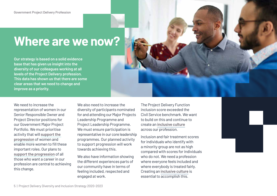# **Where are we now?**

**Our strategy is based on a solid evidence base that has given us insight into the diversity of our colleagues working at all levels of the Project Delivery profession. This data has shown us that there are some clear areas that we need to change and improve as a priority.** 

We need to increase the representation of women in our Senior Responsible Owner and Project Director positions for our Government Major Project Portfolio. We must prioritise activity that will **[support the](#page-10-0)  [progression](#page-10-0)** of women and enable more women to fill these important roles. Our plans to **[support the progression](#page-10-0)** of all those who want a career in our profession are central to achieving this change.

We also need to increase the diversity of participants nominated for and attending our Major Projects Leadership Programme and Project Leadership Programme. We must ensure participation is representative in our core leadership programmes. Our planned activity to support progression will work towards achieving this.

We also have information showing the different experiences parts of our community have in terms of feeling included, respected and engaged at work.

The Project Delivery Function inclusion score exceeded the Civil Service benchmark. We want to build on this and continue to create an **[inclusive culture](#page-9-0)** across our profession.

Inclusion and fair treatment scores for individuals who identify with a minority group are not as high compared with scores for individuals who do not. We need a profession where everyone feels included and where everybody is treated fairly. Creating an **[inclusive culture](#page-9-0)** is essential to accomplish this.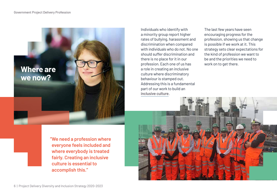**Where are we now?**

Individuals who identify with a minority group report higher rates of bullying, harassment and discrimination when compared with individuals who do not. No one should suffer discrimination and there is no place for it in our profession. Each one of us has a role in creating an inclusive culture where discriminatory behaviour is stamped out. Addressing this is a fundamental part of our work to build an **[inclusive culture](#page-9-0)**.

The last few years have seen encouraging progress for the profession, showing us that change is possible if we work at it. This strategy sets clear expectations for the kind of profession we want to be and the priorities we need to work on to get there.

**"We need a profession where everyone feels included and where everybody is treated fairly. Creating an inclusive culture is essential to accomplish this."**

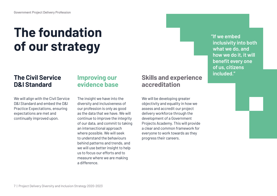# **The foundation of our strategy**

#### **The Civil Service D&I Standard**

We will align with the Civil Service D&I Standard and embed the D&I Practice Expectations, ensuring expectations are met and continually improved upon.

#### **Improving our evidence base**

The insight we have into the diversity and inclusiveness of our profession is only as good as the data that we have. We will continue to improve the integrity of our data, and commit to taking an intersectional approach where possible. We will seek to understand the behaviours behind patterns and trends, and we will use better insight to help us to focus our efforts and to measure where we are making a difference.

#### **Skills and experience accreditation**

We will be developing greater objectivity and equality in how we assess and accredit our project delivery workforce through the development of a Government Projects Academy. This will provide a clear and common framework for everyone to work towards as they progress their careers.

**"If we embed inclusivity into both what we do, and**  how we do it, it will **benefit every one of us, citizens included."**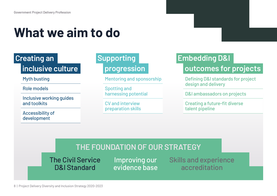# **What we aim to do**

### **inclusive culture**

Myth busting

Role models

Inclusive working guides and toolkits

Accessibility of development

# **Supporting**

Mentoring and sponsorship

Spotting and harnessing potential

CV and interview preparation skills

# **Creating an Embedding D&I**

## **progression by outcomes for projects**

Defining D&I standards for project design and delivery

D&I ambassadors on projects

Creating a future-fit diverse talent pipeline

### **THE FOUNDATION OF OUR STRATEGY**

The Civil Service D&I Standard

Improving our evidence base Skills and experience accreditation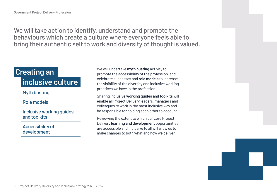<span id="page-9-0"></span>We will take action to identify, understand and promote the behaviours which create a culture where everyone feels able to bring their authentic self to work and diversity of thought is valued.

# **Creating an inclusive culture**

#### Myth busting

#### Role models

Inclusive working guides and toolkits

Accessibility of development

We will undertake **myth busting** activity to promote the accessibility of the profession, and celebrate successes and **role models** to increase the visibility of the diversity and inclusive working practices we have in the profession.

Sharing **inclusive working guides and toolkits** will enable all Project Delivery leaders, managers and colleagues to work in the most inclusive way and be responsible for holding each other to account.

Reviewing the extent to which our core Project Delivery **learning and development** opportunities are accessible and inclusive to all will allow us to make changes to both what and how we deliver.

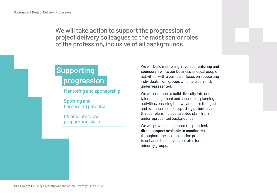<span id="page-10-0"></span>We will take action to support the progression of project delivery colleagues to the most senior roles of the profession, inclusive of all backgrounds.

### **Supporting progression**

Mentoring and sponsorship

Spotting and harnessing potential

CV and interview preparation skills We will build mentoring, reverse **mentoring and sponsorship** into our business as usual people activities, with a particular focus on supporting individuals from groups which are currently underrepresented.

We will continue to build diversity into our talent management and succession planning activities, ensuring that we are more thoughtful and evidence based in **spotting potential** and that our plans include talented staff from underrepresented backgrounds.

We will provide or signpost the practical, **direct support available to candidates** throughout the job application process to enhance the conversion rates for minority groups.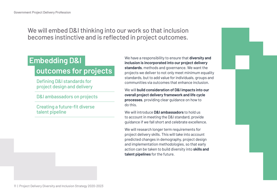We will embed D&I thinking into our work so that inclusion becomes instinctive and is reflected in project outcomes.

# **Embedding D&I outcomes for projects**

Defining D&I standards for project design and delivery

D&I ambassadors on projects

Creating a future-fit diverse talent pipeline

We have a responsibility to ensure that **diversity and inclusion is incorporated into our project delivery standards**, methods and governance. We want the projects we deliver to not only meet minimum equality standards, but to add value for individuals, groups and communities via outcomes that enhance inclusion.

We will **build consideration of D&I impacts into our overall project delivery framework and life cycle processes**, providing clear guidance on how to do this.

We will introduce **D&I ambassadors** to hold us to account in meeting the D&I standard, provide guidance if we fall short and celebrate excellence.

We will research longer term requirements for project delivery skills. This will take into account predicted changes in demography, project design and implementation methodologies, so that early action can be taken to build diversity into **skills and talent pipelines** for the future.